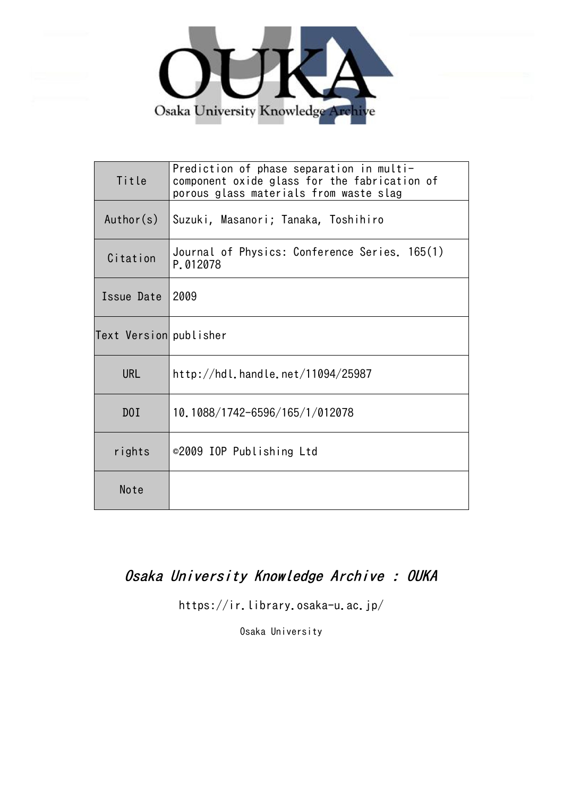

| Title                  | Prediction of phase separation in multi-<br>component oxide glass for the fabrication of<br>porous glass materials from waste slag |
|------------------------|------------------------------------------------------------------------------------------------------------------------------------|
| Author(s)              | Suzuki, Masanori; Tanaka, Toshihiro                                                                                                |
| Citation               | Journal of Physics: Conference Series. 165(1)<br>P.012078                                                                          |
| Issue Date             | 2009                                                                                                                               |
| Text Version publisher |                                                                                                                                    |
| <b>URL</b>             | http://hdl.handle.net/11094/25987                                                                                                  |
| D0I                    | 10.1088/1742-6596/165/1/012078                                                                                                     |
| rights                 | ©2009 IOP Publishing Ltd                                                                                                           |
| Note                   |                                                                                                                                    |

# Osaka University Knowledge Archive : OUKA

https://ir.library.osaka-u.ac.jp/

Osaka University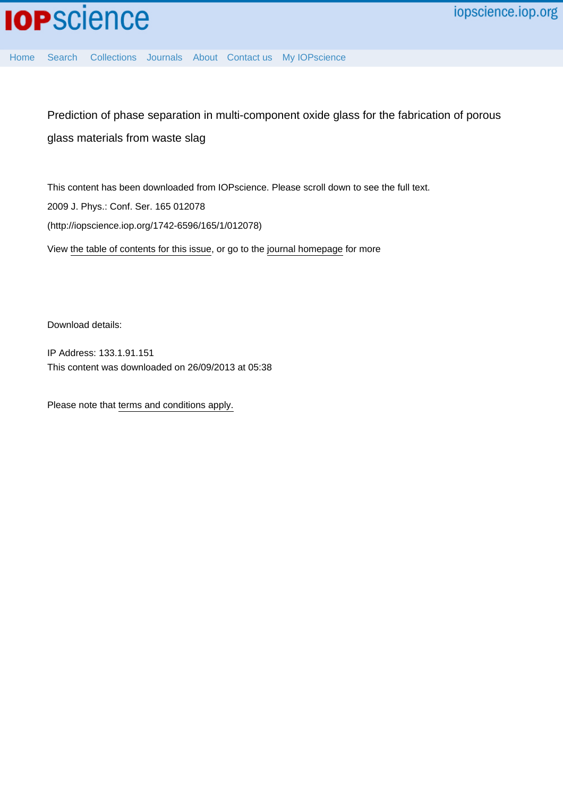

[Home](http://iopscience.iop.org/) [Search](http://iopscience.iop.org/search) [Collections](http://iopscience.iop.org/collections) [Journals](http://iopscience.iop.org/journals) [About](http://iopscience.iop.org/page/aboutioppublishing) [Contact us](http://iopscience.iop.org/contact) [My IOPscience](http://iopscience.iop.org/myiopscience)

Prediction of phase separation in multi-component oxide glass for the fabrication of porous glass materials from waste slag

This content has been downloaded from IOPscience. Please scroll down to see the full text. 2009 J. Phys.: Conf. Ser. 165 012078 (http://iopscience.iop.org/1742-6596/165/1/012078) View [the table of contents for this issue](http://iopscience.iop.org/1742-6596/165/1), or go to the [journal homepage](http://iopscience.iop.org/1742-6596) for more

Download details:

IP Address: 133.1.91.151 This content was downloaded on 26/09/2013 at 05:38

Please note that [terms and conditions apply.](iopscience.iop.org/page/terms)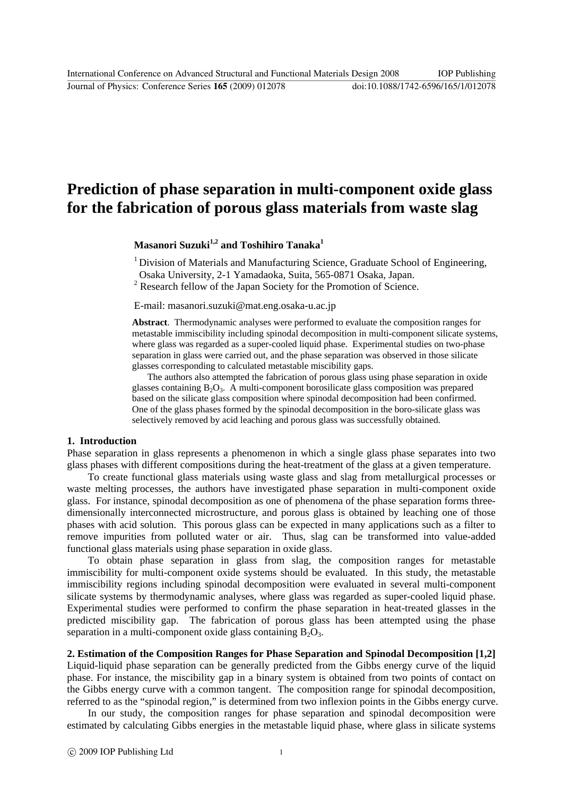Journal of Physics: Conference Series **165** (2009) 012078 doi:10.1088/1742-6596/165/1/012078

## **Prediction of phase separation in multi-component oxide glass for the fabrication of porous glass materials from waste slag**

**Masanori Suzuki1,2 and Toshihiro Tanaka1**

<sup>1</sup> Division of Materials and Manufacturing Science, Graduate School of Engineering, Osaka University, 2-1 Yamadaoka, Suita, 565-0871 Osaka, Japan.

<sup>2</sup> Research fellow of the Japan Society for the Promotion of Science.

E-mail: masanori.suzuki@mat.eng.osaka-u.ac.jp

**Abstract**. Thermodynamic analyses were performed to evaluate the composition ranges for metastable immiscibility including spinodal decomposition in multi-component silicate systems, where glass was regarded as a super-cooled liquid phase. Experimental studies on two-phase separation in glass were carried out, and the phase separation was observed in those silicate glasses corresponding to calculated metastable miscibility gaps.

 The authors also attempted the fabrication of porous glass using phase separation in oxide glasses containing  $B_2O_3$ . A multi-component borosilicate glass composition was prepared based on the silicate glass composition where spinodal decomposition had been confirmed. One of the glass phases formed by the spinodal decomposition in the boro-silicate glass was selectively removed by acid leaching and porous glass was successfully obtained.

## **1. Introduction**

Phase separation in glass represents a phenomenon in which a single glass phase separates into two glass phases with different compositions during the heat-treatment of the glass at a given temperature.

To create functional glass materials using waste glass and slag from metallurgical processes or waste melting processes, the authors have investigated phase separation in multi-component oxide glass. For instance, spinodal decomposition as one of phenomena of the phase separation forms threedimensionally interconnected microstructure, and porous glass is obtained by leaching one of those phases with acid solution. This porous glass can be expected in many applications such as a filter to remove impurities from polluted water or air. Thus, slag can be transformed into value-added functional glass materials using phase separation in oxide glass.

To obtain phase separation in glass from slag, the composition ranges for metastable immiscibility for multi-component oxide systems should be evaluated. In this study, the metastable immiscibility regions including spinodal decomposition were evaluated in several multi-component silicate systems by thermodynamic analyses, where glass was regarded as super-cooled liquid phase. Experimental studies were performed to confirm the phase separation in heat-treated glasses in the predicted miscibility gap. The fabrication of porous glass has been attempted using the phase separation in a multi-component oxide glass containing  $B_2O_3$ .

## **2. Estimation of the Composition Ranges for Phase Separation and Spinodal Decomposition [1,2]**

Liquid-liquid phase separation can be generally predicted from the Gibbs energy curve of the liquid phase. For instance, the miscibility gap in a binary system is obtained from two points of contact on the Gibbs energy curve with a common tangent. The composition range for spinodal decomposition, referred to as the "spinodal region," is determined from two inflexion points in the Gibbs energy curve.

In our study, the composition ranges for phase separation and spinodal decomposition were estimated by calculating Gibbs energies in the metastable liquid phase, where glass in silicate systems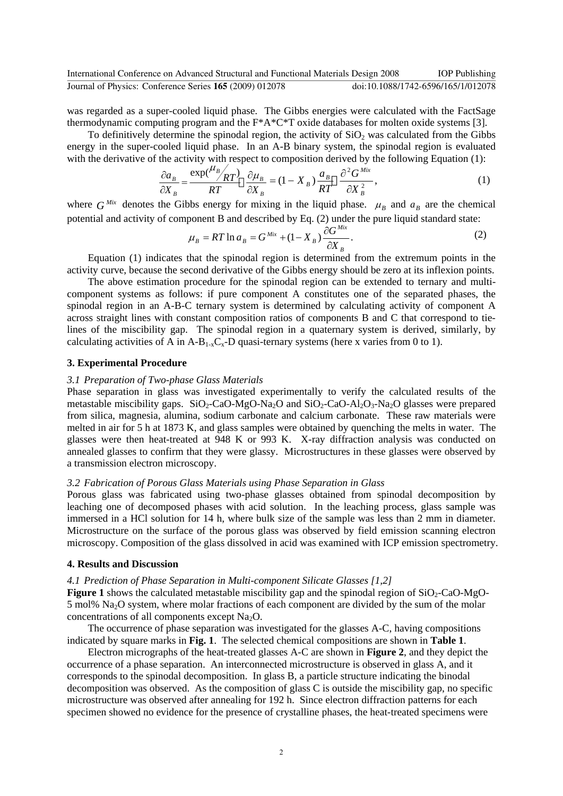was regarded as a super-cooled liquid phase. The Gibbs energies were calculated with the FactSage thermodynamic computing program and the F\*A\*C\*T oxide databases for molten oxide systems [3].

To definitively determine the spinodal region, the activity of  $SiO<sub>2</sub>$  was calculated from the Gibbs energy in the super-cooled liquid phase. In an A-B binary system, the spinodal region is evaluated with the derivative of the activity with respect to composition derived by the following Equation (1):

$$
\frac{\partial a_B}{\partial X_B} = \frac{\exp(\frac{\mu_B}{RT})}{RT} \frac{\partial \mu_B}{\partial X_B} = (1 - X_B) \frac{a_B}{RT} \frac{\partial^2 G^{Mix}}{\partial X_B^2},\tag{1}
$$

where  $G^{Mix}$  denotes the Gibbs energy for mixing in the liquid phase.  $\mu_B$  and  $a_B$  are the chemical potential and activity of component B and described by Eq. (2) under the pure liquid standard state:

$$
\mu_B = RT \ln a_B = G^{Mix} + (1 - X_B) \frac{\partial G^{Mix}}{\partial X_B}.
$$
\n(2)

Equation (1) indicates that the spinodal region is determined from the extremum points in the activity curve, because the second derivative of the Gibbs energy should be zero at its inflexion points.

The above estimation procedure for the spinodal region can be extended to ternary and multicomponent systems as follows: if pure component A constitutes one of the separated phases, the spinodal region in an A-B-C ternary system is determined by calculating activity of component A across straight lines with constant composition ratios of components B and C that correspond to tielines of the miscibility gap. The spinodal region in a quaternary system is derived, similarly, by calculating activities of A in  $A-B_{1-x}C_x-D$  quasi-ternary systems (here x varies from 0 to 1).

## **3. Experimental Procedure**

## *3.1 Preparation of Two-phase Glass Materials*

Phase separation in glass was investigated experimentally to verify the calculated results of the metastable miscibility gaps.  $SiO<sub>2</sub>-CaO-MgO-Na<sub>2</sub>O$  and  $SiO<sub>2</sub>-CaO-MgO<sub>3</sub>-Na<sub>2</sub>O$  glasses were prepared from silica, magnesia, alumina, sodium carbonate and calcium carbonate. These raw materials were melted in air for 5 h at 1873 K, and glass samples were obtained by quenching the melts in water. The glasses were then heat-treated at 948 K or 993 K. X-ray diffraction analysis was conducted on annealed glasses to confirm that they were glassy. Microstructures in these glasses were observed by a transmission electron microscopy.

## *3.2 Fabrication of Porous Glass Materials using Phase Separation in Glass*

Porous glass was fabricated using two-phase glasses obtained from spinodal decomposition by leaching one of decomposed phases with acid solution. In the leaching process, glass sample was immersed in a HCl solution for 14 h, where bulk size of the sample was less than 2 mm in diameter. Microstructure on the surface of the porous glass was observed by field emission scanning electron microscopy. Composition of the glass dissolved in acid was examined with ICP emission spectrometry.

## **4. Results and Discussion**

#### *4.1 Prediction of Phase Separation in Multi-component Silicate Glasses [1,2]*

**Figure 1** shows the calculated metastable miscibility gap and the spinodal region of  $SiO<sub>2</sub>-CaO-MgO-$ 5 mol%  $Na<sub>2</sub>O$  system, where molar fractions of each component are divided by the sum of the molar concentrations of all components except  $Na<sub>2</sub>O$ .

The occurrence of phase separation was investigated for the glasses A-C, having compositions indicated by square marks in **Fig. 1**. The selected chemical compositions are shown in **Table 1**.

Electron micrographs of the heat-treated glasses A-C are shown in **Figure 2**, and they depict the occurrence of a phase separation. An interconnected microstructure is observed in glass A, and it corresponds to the spinodal decomposition. In glass B, a particle structure indicating the binodal decomposition was observed. As the composition of glass C is outside the miscibility gap, no specific microstructure was observed after annealing for 192 h. Since electron diffraction patterns for each specimen showed no evidence for the presence of crystalline phases, the heat-treated specimens were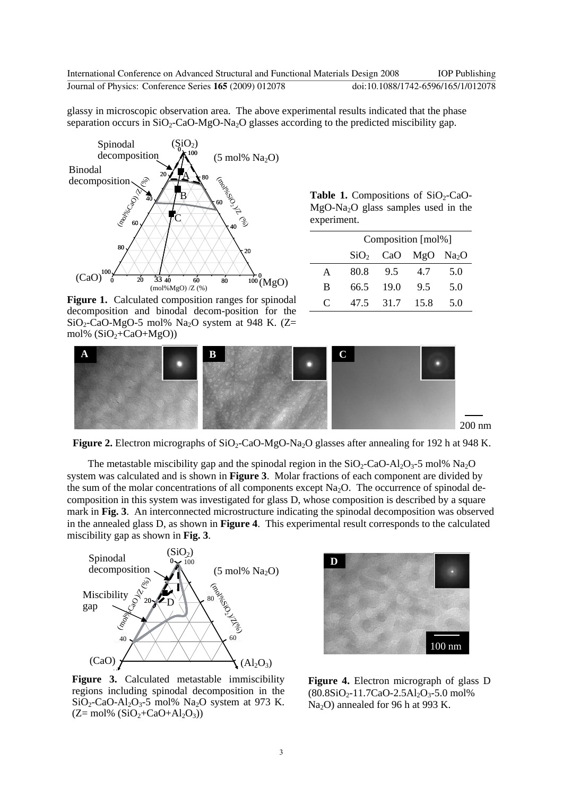glassy in microscopic observation area. The above experimental results indicated that the phase separation occurs in  $SiO_2$ -CaO-MgO-Na<sub>2</sub>O glasses according to the predicted miscibility gap.



Figure 1. Calculated composition ranges for spinodal decomposition and binodal decom-position for the  $SiO<sub>2</sub>-CaO-MgO-5$  mol% Na<sub>2</sub>O system at 948 K. (Z= mol%  $(SiO<sub>2</sub>+CaO+MgO)$ 

**Table 1.** Compositions of  $SiO_2$ -CaO-MgO-Na2O glass samples used in the experiment.

|             | Composition [mol%] |      |                                  |     |  |
|-------------|--------------------|------|----------------------------------|-----|--|
|             |                    |      | $SiO2$ CaO MgO Na <sub>2</sub> O |     |  |
| A           | 80.8               | 9.5  | 4.7                              | 5.0 |  |
| B           | 66.5               | 19.0 | 95                               | 5.0 |  |
| $\mathbf C$ | 47.5               | 31.7 | 15.8                             | 5.0 |  |



**Figure 2.** Electron micrographs of SiO<sub>2</sub>-CaO-MgO-Na<sub>2</sub>O glasses after annealing for 192 h at 948 K.

The metastable miscibility gap and the spinodal region in the  $SiO<sub>2</sub>-CaO-AI<sub>2</sub>O<sub>3</sub>$ -5 mol% Na<sub>2</sub>O system was calculated and is shown in **Figure 3**. Molar fractions of each component are divided by the sum of the molar concentrations of all components except  $Na<sub>2</sub>O$ . The occurrence of spinodal decomposition in this system was investigated for glass D, whose composition is described by a square mark in **Fig. 3**. An interconnected microstructure indicating the spinodal decomposition was observed in the annealed glass D, as shown in **Figure 4**. This experimental result corresponds to the calculated miscibility gap as shown in **Fig. 3**.



Figure 3. Calculated metastable immiscibility regions including spinodal decomposition in the  $SiO<sub>2</sub>-CaO-Al<sub>2</sub>O<sub>3</sub> - 5$  mol% Na<sub>2</sub>O system at 973 K.  $(Z= mol\% (SiO<sub>2</sub>+CaO+Al<sub>2</sub>O<sub>3</sub>))$ 



**Figure 4.** Electron micrograph of glass D  $(80.8SiO<sub>2</sub>-11.7CaO-2.5Al<sub>2</sub>O<sub>3</sub>-5.0 mol%$ Na2O) annealed for 96 h at 993 K.